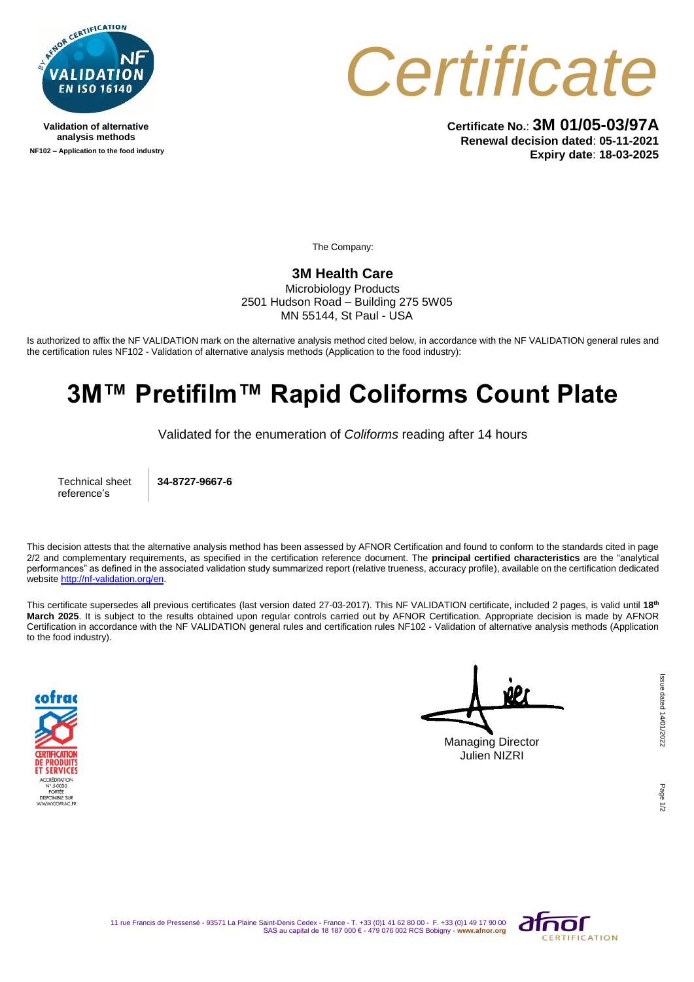

**Validation of alternative analysis methods NF102 – Application to the food industry**



**Certificate No.**: **3M 01/05-03/97A Renewal decision dated**: **05-11-2021 Expiry date**: **18-03-2025**

The Company:

## **3M Health Care**

Microbiology Products 2501 Hudson Road – Building 275 5W05 MN 55144, St Paul - USA

Is authorized to affix the NF VALIDATION mark on the alternative analysis method cited below, in accordance with the NF VALIDATION general rules and the certification rules NF102 - Validation of alternative analysis methods (Application to the food industry):

## **3M™ Pretifilm™ Rapid Coliforms Count Plate**

Validated for the enumeration of *Coliforms* reading after 14 hours

Technical sheet reference's

**34-8727-9667-6**

This decision attests that the alternative analysis method has been assessed by AFNOR Certification and found to conform to the standards cited in page 2/2 and complementary requirements, as specified in the certification reference document. The **principal certified characteristics** are the "analytical performances" as defined in the associated validation study summarized report (relative trueness, accuracy profile), available on the certification dedicated websit[e http://nf-validation.org/en.](http://nf-validation.org/en)

This certificate supersedes all previous certificates (last version dated 27-03-2017). This NF VALIDATION certificate, included 2 pages, is valid until **18th March 2025**. It is subject to the results obtained upon regular controls carried out by AFNOR Certification. Appropriate decision is made by AFNOR Certification in accordance with the NF VALIDATION general rules and certification rules NF102 - Validation of alternative analysis methods (Application to the food industry).



Managing Director Julien NIZRI

Page